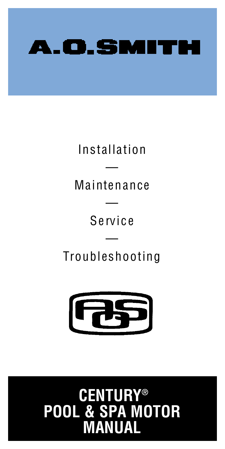

**Installation** 

— Maintenance

> — S e rv i c e

— Troubleshooting



# **CENTURY ® POOL & SPA MOTOR MANUAL**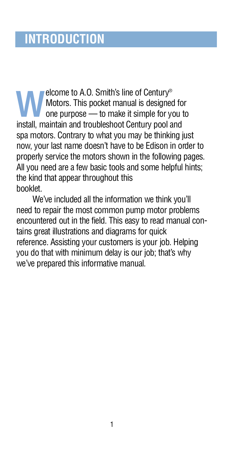**WELL COMET TO A STATE IN STARK IN A MOTOR MOTOR MOTOR MOTOR MOTOR IN MOTOR MOTOR IN MOREOVER AND MOTOR IN A MOREOVER AND THE INTERNATIONAL AND THE INTERNATIONAL AND THE INTERNATIONAL AND THE INCOLLECT AND MOREOVER A MOREO** elcome to A.O. Smith's line of Century® Motors. This pocket manual is designed for one purpose — to make it simple for you to spa motors. Contrary to what you may be thinking just now, your last name doesn't have to be Edison in order to properly service the motors shown in the following pages. All you need are a few basic tools and some helpful hints; the kind that appear throughout this booklet.

We've included all the information we think you'll need to repair the most common pump motor problems encountered out in the field. This easy to read manual contains great illustrations and diagrams for quick reference. Assisting your customers is your job. Helping you do that with minimum delay is our job; that's why we've prepared this informative manual.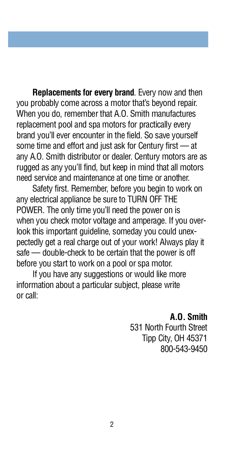**Replacements for every brand**. Every now and then you probably come across a motor that's beyond repair. When you do, remember that A.O. Smith manufactures replacement pool and spa motors for practically every brand you'll ever encounter in the field. So save yourself some time and effort and just ask for Century first  $-$  at any A.O. Smith distributor or dealer. Century motors are as rugged as any you'll find, but keep in mind that all motors need service and maintenance at one time or another.

Safety first. Remember, before you begin to work on any electrical appliance be sure to TURN OFF THE POWER. The only time you'll need the power on is when you check motor voltage and amperage. If you overlook this important guideline, someday you could unexpectedly get a real charge out of your work! Always play it safe — double-check to be certain that the power is off before you start to work on a pool or spa motor.

If you have any suggestions or would like more information about a particular subject, please write or call:

#### **A.O. Smith**

531 North Fourth Street Tipp City, OH 45371 800-543-9450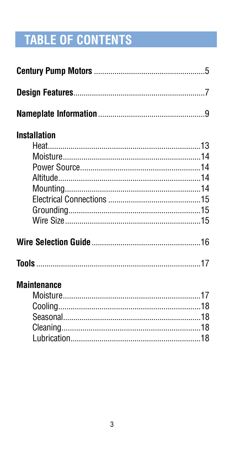# **TABLE OF CONTENTS**

| <b>Installation</b>   |  |
|-----------------------|--|
|                       |  |
|                       |  |
|                       |  |
|                       |  |
|                       |  |
|                       |  |
|                       |  |
|                       |  |
|                       |  |
|                       |  |
| <b>Maintenance</b>    |  |
|                       |  |
|                       |  |
|                       |  |
|                       |  |
| <u>Lubrication</u> 18 |  |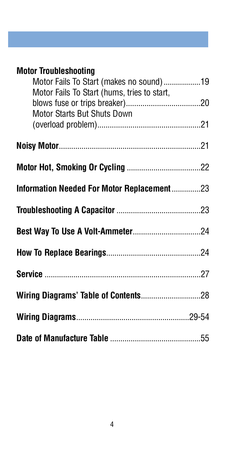| <b>Motor Troubleshooting</b>                |  |
|---------------------------------------------|--|
| Motor Fails To Start (makes no sound)19     |  |
| Motor Fails To Start (hums, tries to start, |  |
|                                             |  |
| Motor Starts But Shuts Down                 |  |
|                                             |  |
|                                             |  |
|                                             |  |
|                                             |  |
|                                             |  |
|                                             |  |
|                                             |  |
| Information Needed For Motor Replacement 23 |  |
|                                             |  |
|                                             |  |
|                                             |  |
|                                             |  |
|                                             |  |
|                                             |  |
|                                             |  |
|                                             |  |
|                                             |  |
|                                             |  |
|                                             |  |
|                                             |  |
|                                             |  |
|                                             |  |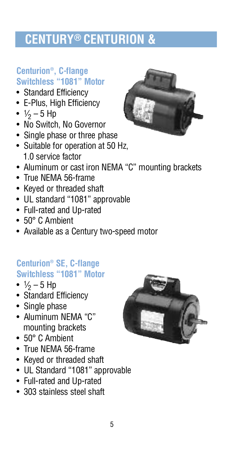# **CENTURY® CENTURION &**

#### **C e n t u r i o n® , C-flange Switchless "1081" Motor**

- Standard Efficiency
- E-Plus, High Efficiency
- $1/2 5$  Hp
- No Switch, No Governor
- Single phase or three phase
- Suitable for operation at 50 Hz, 1.0 service factor
- Aluminum or cast iron NEMA "C" mounting brackets
- True NEMA 56-frame
- Keyed or threaded shaft
- UL standard "1081" approvable
- Full-rated and Up-rated
- 50° C Ambient
- Available as a Century two-speed motor

#### **C e n t u r i o n® SE, C-flange Switchless "1081" Motor**

- $1/2 5$  Hp
- Standard Efficiency
- Single phase
- Aluminum NEMA "C" mounting brackets
- 50° C Ambient
- True NEMA 56-frame
- Keyed or threaded shaft
- UL Standard "1081" approvable
- Full-rated and Up-rated
- 303 stainless steel shaft



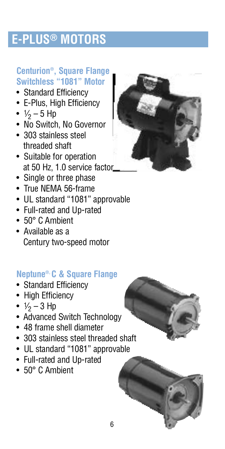# **E-PLUS® MOTORS**

#### **C e n t u r i o n® , Square Flange Switchless "1081" Motor**

- Standard Efficiency
- E-Plus, High Efficiency
- $1/2 5$  Hp
- No Switch, No Governor
- 303 stainless steel threaded shaft
- Suitable for operation at 50 Hz, 1.0 service factor
- Single or three phase
- True NEMA 56-frame
- UL standard "1081" approvable
- Full-rated and Up-rated
- 50° C Ambient
- Available as a Century two-speed motor

#### **N e p t u n e®, C & Square Flange**

- Standard Efficiency
- High Efficiency
- $1/2 3$  Hp
- Advanced Switch Technology
- 48 frame shell diameter
- 303 stainless steel threaded shaft
- UL standard "1081" approvable
- Full-rated and Up-rated
- 50° C Ambient





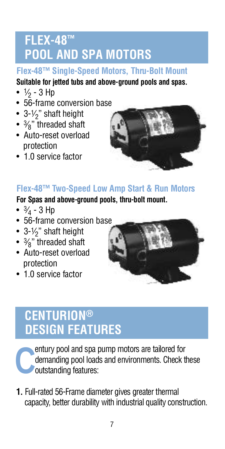# **FLEX-48™ POOL AND SPA MOTORS**

#### **Flex-48™ Single-Speed Motors, Thru-Bolt Mount**

#### **Suitable for jetted tubs and above-ground pools and spas.**

- $\frac{1}{2}$  3 Hp
- 56-frame conversion base
- $\bullet\,$  3- $\mathcal{V}_2$ " shaft height
- $\bullet$   $\frac{3}{8}$ " threaded shaft
- Auto-reset overload protection
- 1.0 service factor



#### **Flex-48™ Two-Speed Low Amp Start & Run Motors**

#### **For Spas and above-ground pools, thru-bolt mount.**

- $\frac{3}{4}$  3 Hp
- 56-frame conversion base
- 3- $1/2$ " shaft height
- $\bullet$   $\frac{3}{8}$ " threaded shaft
- Auto-reset overload protection
- 1.0 service factor



# **CENTURION® DESIGN FEATURES**

**C** entury pool and spa pump motors are tailored for demanding pool loads and environments. Check these outstanding features:

**1 .** Full-rated 56-Frame diameter gives greater thermal capacity, better durability with industrial quality construction.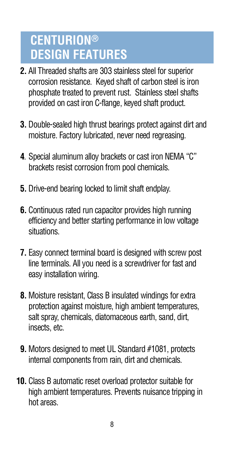# **CENTURION® DESIGN FEATURES**

- **2 .** All Threaded shafts are 303 stainless steel for superior corrosion resistance. Keyed shaft of carbon steel is iron phosphate treated to prevent rust. Stainless steel shafts provided on cast iron C-flange, keyed shaft product.
- **3.** Double-sealed high thrust bearings protect against dirt and moisture. Factory lubricated, never need regreasing.
- **4**. Special aluminum alloy brackets or cast iron NEMA "C" brackets resist corrosion from pool chemicals.
- **5.** Drive-end bearing locked to limit shaft endplay.
- **6.** Continuous rated run capacitor provides high running efficiency and better starting performance in low voltage situations.
- **7 .** Easy connect terminal board is designed with screw post line terminals. All you need is a screwdriver for fast and easy installation wiring.
- **8.** Moisture resistant, Class B insulated windings for extra protection against moisture, high ambient temperatures, salt spray, chemicals, diatomaceous earth, sand, dirt, insects, etc.
- **9.** Motors designed to meet UL Standard #1081, protects internal components from rain, dirt and chemicals.
- **10.** Class B automatic reset overload protector suitable for high ambient temperatures. Prevents nuisance tripping in hot areas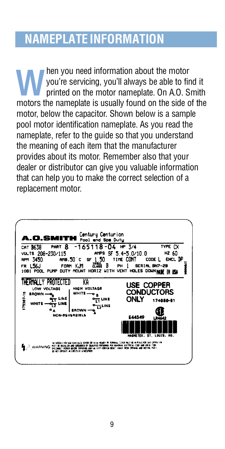# **NAMEPLATE INFORMATION**

**WALK** hen you need information about the motor you're servicing, you'll always be able to find it printed on the motor nameplate. On A.O. Smith motors the nameplate is usually found on the side of the hen you need information about the motor you're servicing, you'll always be able to find it printed on the motor nameplate. On A.O. Smith motor, below the capacitor. Shown below is a sample pool motor identification nameplate. As you read the nameplate, refer to the guide so that you understand the meaning of each item that the manufacturer p rovides about its motor. Remember also that your dealer or distributor can give you valuable information that can help you to make the correct selection of a replacement motor.

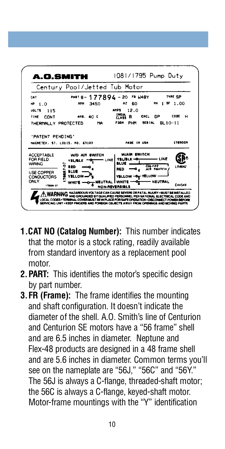

- **1 .C AT NO (Catalog Number):** This number indicates that the motor is a stock rating, readily available from standard inventory as a replacement pool motor.
- 2. **PART:** This identifies the motor's specific design by part number.
- **3 .FR (Frame):** The frame identifies the mounting and shaft configuration. It doesn't indicate the diameter of the shell. A.O. Smith's line of Centurion and Centurion SE motors have a "56 frame" shell and are 6.5 inches in diameter. Neptune and Flex-48 products are designed in a 48 frame shell and are 5.6 inches in diameter. Common terms you'll see on the nameplate are "56J," "56C" and "56Y." The 56J is always a C-flange, threaded-shaft motor; the 56C is always a C-flange, keyed-shaft motor. Motor-frame mountings with the "Y" identification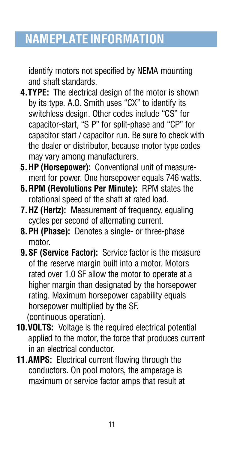# **NAMEPLATE INFORMATION**

identify motors not specified by NEMA mounting and shaft standards.

- **4.TYPE:** The electrical design of the motor is shown by its type. A.O. Smith uses "CX" to identify its switchless design. Other codes include "CS" for capacitor-start, "S P" for split-phase and "CP" for capacitor start / capacitor run. Be sure to check with the dealer or distributor, because motor type codes may vary among manufacturers.
- **5 .HP (Horsepower):** Conventional unit of measure ment for power. One horsepower equals 746 watts.
- **6 .RPM (Revolutions Per Minute):** RPM states the rotational speed of the shaft at rated load.
- **7. HZ (Hertz):** Measurement of frequency, equaling cycles per second of alternating current.
- **8 .PH (Phase):** Denotes a single- or three-phase motor.
- **9. SF (Service Factor):** Service factor is the measure of the reserve margin built into a motor. Motors rated over 1.0 SF allow the motor to operate at a higher margin than designated by the horsepower rating. Maximum horsepower capability equals horsepower multiplied by the SF. (continuous operation).
- **10. VOLTS:** Voltage is the required electrical potential applied to the motor, the force that produces current in an electrical conductor.
- **11.AMPS:** Electrical current flowing through the conductors. On pool motors, the amperage is maximum or service factor amps that result at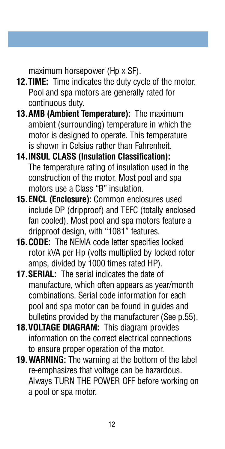maximum horsepower (Hp x SF).

- **12. TIME:** Time indicates the duty cycle of the motor. Pool and spa motors are generally rated for continuous duty.
- **13.AMB (Ambient Temperature):** The maximum ambient (surrounding) temperature in which the motor is designed to operate. This temperature is shown in Celsius rather than Fahrenheit.
- **1 4 .INSUL CLASS (Insulation Classification):** The temperature rating of insulation used in the construction of the motor. Most pool and spa motors use a Class "B" insulation.
- **15. ENCL (Enclosure):** Common enclosures used include DP (dripproof) and TEFC (totally enclosed fan cooled). Most pool and spa motors feature a dripproof design, with "1081" features.
- **16. CODE:** The NEMA code letter specifies locked rotor kVA per Hp (volts multiplied by locked rotor amps, divided by 1000 times rated HP).
- **17. SERIAL:** The serial indicates the date of manufacture, which often appears as year/month combinations. Serial code information for each pool and spa motor can be found in guides and bulletins provided by the manufacturer (See p.55).
- **18. VOLTAGE DIAGRAM:** This diagram provides information on the correct electrical connections to ensure proper operation of the motor.
- **19. WARNING:** The warning at the bottom of the label re-emphasizes that voltage can be hazardous. Always TURN THE POWER OFF before working on a pool or spa motor.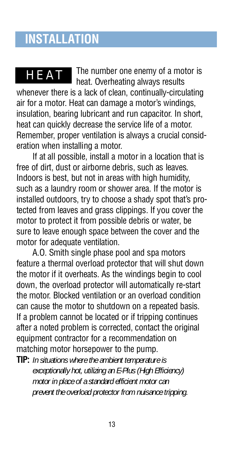# **INSTALLATION**

The number one enemy of a motor is heat. Overheating always results whenever there is a lack of clean, continually-circulating air for a motor. Heat can damage a motor's windings, insulation, bearing lubricant and run capacitor. In short, heat can quickly decrease the service life of a motor. Remember, proper ventilation is always a crucial consideration when installing a motor. H E AT

If at all possible, install a motor in a location that is free of dirt, dust or airborne debris, such as leaves. Indoors is best, but not in areas with high humidity, such as a laundry room or shower area. If the motor is installed outdoors, try to choose a shady spot that's protected from leaves and grass clippings. If you cover the motor to protect it from possible debris or water, be sure to leave enough space between the cover and the motor for adequate ventilation.

A.O. Smith single phase pool and spa motors feature a thermal overload protector that will shut down the motor if it overheats. As the windings begin to cool down, the overload protector will automatically re-start the motor. Blocked ventilation or an overload condition can cause the motor to shutdown on a repeated basis. If a problem cannot be located or if tripping continues after a noted problem is corrected, contact the original equipment contractor for a recommendation on matching motor horsepower to the pump.

**TIP:** In situations where the ambient temperature is *exceptionally hot, utilizing an E-Plus (High Efficiency) motor in place of a standard efficient motor can p revent the overload protector from nuisance tripping.*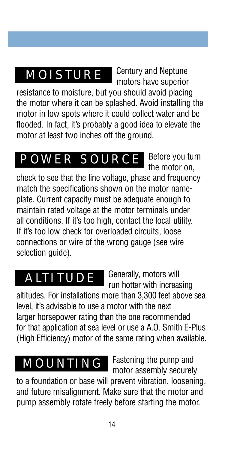# **MOISTURE**

Century and Neptune motors have superior

Before you turn

resistance to moisture, but you should avoid placing the motor where it can be splashed. Avoid installing the motor in low spots where it could collect water and be flooded. In fact, it's probably a good idea to elevate the motor at least two inches off the ground.

# **POWER SOURCE**

the motor on, check to see that the line voltage, phase and frequency match the specifications shown on the motor nameplate. Current capacity must be adequate enough to maintain rated voltage at the motor terminals under all conditions. If it's too high, contact the local utility. If it's too low check for overloaded circuits, loose connections or wire of the wrong gauge (see wire selection guide).

# **ALTITUDE**

Generally, motors will run hotter with increasing

altitudes. For installations more than 3,300 feet above sea level, it's advisable to use a motor with the next larger horsepower rating than the one recommended for that application at sea level or use a A.O. Smith E-Plus (High Efficiency) motor of the same rating when available.

# **MOUNTING**

Fastening the pump and motor assembly securely

to a foundation or base will prevent vibration, loosening, and future misalignment. Make sure that the motor and pump assembly rotate freely before starting the motor.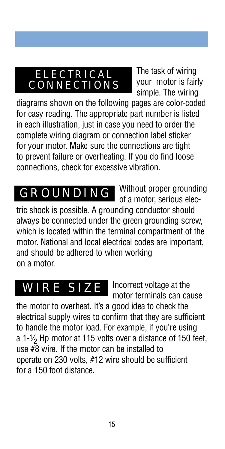## **ELECTRICAL** C O N N E C T I O N S

The task of wiring your motor is fairly simple. The wiring

diagrams shown on the following pages are color-coded for easy reading. The appropriate part number is listed in each illustration, just in case you need to order the complete wiring diagram or connection label sticker for your motor. Make sure the connections are tight to prevent failure or overheating. If you do find loose connections, check for excessive vibration.

Without proper grounding of a motor, serious electric shock is possible. A grounding conductor should always be connected under the green grounding screw, which is located within the terminal compartment of the motor. National and local electrical codes are important. and should be adhered to when working on a motor. **GROUNDING** 

# WIRE SIZE

Incorrect voltage at the motor terminals can cause

the motor to overheat. It's a good idea to check the electrical supply wires to confirm that they are sufficient to handle the motor load. For example, if you're using a 1-1/<sub>2</sub> Hp motor at 115 volts over a distance of 150 feet. use  $\#8$  wire. If the motor can be installed to operate on 230 volts, #12 wire should be sufficient for a 150 foot distance.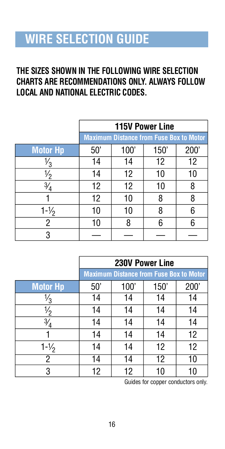# **WIRE SELECTION GUIDE**

#### **THE SIZES SHOWN IN THE FOLLOWING WIRE SELECTION CHARTS ARE RECOMMENDATIONS ONLY. ALWAYS FOLLOW LOCAL AND NATIONAL ELECTRIC CODES.**

|                   | <b>115V Power Line</b>                         |      |      |      |
|-------------------|------------------------------------------------|------|------|------|
|                   | <b>Maximum Distance from Fuse Box to Motor</b> |      |      |      |
| <b>Motor Hp</b>   | 50'                                            | 100' | 150' | 200' |
| م،                | 14                                             | 14   | 12   | 12   |
| °                 | 14                                             | 12   | 10   | 10   |
| $\frac{3}{4}$     | 12                                             | 12   | 10   | 8    |
|                   | 12                                             | 10   | 8    | 8    |
| $1 - \frac{1}{2}$ | 10                                             | 10   | 8    | 6    |
| 2                 | 10                                             | 8    | 6    |      |
| 3                 |                                                |      |      |      |

|                   | 230V Power Line                                |      |      |      |
|-------------------|------------------------------------------------|------|------|------|
|                   | <b>Maximum Distance from Fuse Box to Motor</b> |      |      |      |
| <b>Motor Hp</b>   | 50'                                            | 100' | 150' | 200' |
| ⅓                 | 14                                             | 14   | 14   | 14   |
| $\frac{1}{2}$     | 14                                             | 14   | 14   | 14   |
| $\frac{3}{4}$     | 14                                             | 14   | 14   | 14   |
|                   | 14                                             | 14   | 14   | 12   |
| $1 - \frac{1}{2}$ | 14                                             | 14   | 12   | 12   |
| $\overline{2}$    | 14                                             | 14   | 12   | 10   |
| 3                 | 12                                             | 12   |      |      |

Guides for copper conductors only.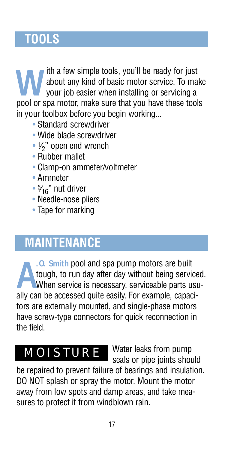# **TOOLS**

**WE WE AT A SERV** simple tools, you'll be ready for just about any kind of basic motor service. To make your job easier when installing or servicing a pool or spa motor, make sure that you have these tools ith a few simple tools, you'll be ready for just about any kind of basic motor service. To make your job easier when installing or servicing a in your toolbox before you begin working...

- Standard screwdriver
- Wide blade screwdriver
- $\cdot$  1/<sub>2</sub>" open end wrench
- Rubber mallet
- Clamp-on ammeter/voltmeter
- Ammeter
- $\cdot$  5/<sub>16</sub>" nut driver
- Needle-nose pliers
- Tape for marking

# **MAINTENANCE**

**A** ally can be accessed quite easily. For example, capaci-**.O. Smith** pool and spa pump motors are built tough, to run day after day without being serviced. When service is necessary, serviceable parts usutors are externally mounted, and single-phase motors have screw-type connectors for quick reconnection in the field.

# **MOISTURE**

Water leaks from pump seals or pipe joints should

be repaired to prevent failure of bearings and insulation. DO NOT splash or spray the motor. Mount the motor away from low spots and damp areas, and take measures to protect it from windblown rain.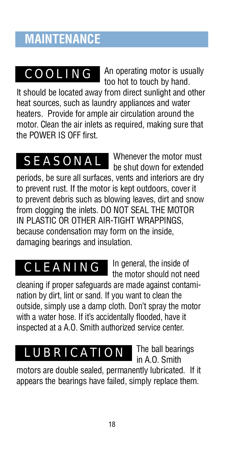# **MAINTENANCE**

# C O O L I N G

An operating motor is usually too hot to touch by hand.

It should be located away from direct sunlight and other heat sources, such as laundry appliances and water heaters. Provide for ample air circulation around the motor. Clean the air inlets as required, making sure that the POWER IS OFF first.

Whenever the motor must be shut down for extended periods, be sure all surfaces, vents and interiors are dry to prevent rust. If the motor is kept outdoors, cover it to prevent debris such as blowing leaves, dirt and snow from clogging the inlets. DO NOT SEAL THE MOTOR IN PLASTIC OR OTHER AIR-TIGHT WRAPPINGS, because condensation may form on the inside, damaging bearings and insulation. **SEASONAL** 

# **CLEANING**

In general, the inside of the motor should not need

cleaning if proper safeguards are made against contamination by dirt, lint or sand. If you want to clean the outside, simply use a damp cloth. Don't spray the motor with a water hose. If it's accidentally flooded, have it inspected at a A.O. Smith authorized service center.

# LUBRICATION

The ball bearings in A.O. Smith

motors are double sealed, permanently lubricated. If it appears the bearings have failed, simply replace them.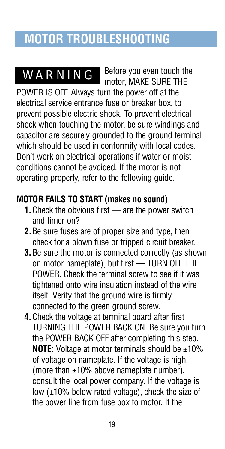# **MOTOR TROUBLESHOOTING**

# **WARNING**

motor. MAKE SURE THE POWER IS OFF. Always turn the power off at the electrical service entrance fuse or breaker box, to p revent possible electric shock. To prevent electrical shock when touching the motor, be sure windings and capacitor are securely grounded to the ground terminal which should be used in conformity with local codes. Don't work on electrical operations if water or moist conditions cannot be avoided. If the motor is not operating properly, refer to the following guide.

Before you even touch the

#### **MOTOR FAILS TO START (makes no sound)**

- **1.** Check the obvious first are the power switch and timer on?
- **2 .**Be sure fuses are of proper size and type, then check for a blown fuse or tripped circuit breaker.
- **3.** Be sure the motor is connected correctly (as shown on motor nameplate), but first — TURN OFF THE POWER. Check the terminal screw to see if it was tightened onto wire insulation instead of the wire itself. Verify that the ground wire is firmly connected to the green ground screw.
- **4 .**Check the voltage at terminal board after first TURNING THE POWER BACK ON. Be sure you turn the POWER BACK OFF after completing this step. **NOTE:** Voltage at motor terminals should be ±10% of voltage on nameplate. If the voltage is high (more than  $\pm 10\%$  above nameplate number), consult the local power company. If the voltage is low (±10% below rated voltage), check the size of the power line from fuse box to motor. If the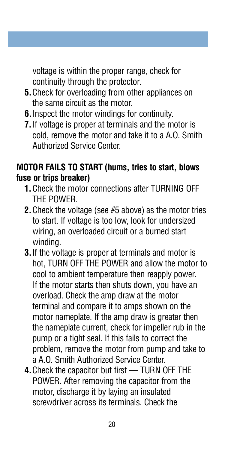voltage is within the proper range, check for continuity through the protector.

- **5.** Check for overloading from other appliances on the same circuit as the motor.
- **6 .**Inspect the motor windings for continuity.
- **7 .**If voltage is proper at terminals and the motor is cold, remove the motor and take it to a A.O. Smith Authorized Service Center.

#### **MOTOR FAILS TO START (hums, tries to start, blows** fuse or trips breaker)

- **1 .**Check the motor connections after TURNING OFF THE POWER.
- **2.** Check the voltage (see #5 above) as the motor tries to start. If voltage is too low, look for undersized wiring, an overloaded circuit or a burned start winding.
- **3 .**If the voltage is proper at terminals and motor is hot, TURN OFF THE POWER and allow the motor to cool to ambient temperature then reapply power. If the motor starts then shuts down, you have an overload. Check the amp draw at the motor terminal and compare it to amps shown on the motor nameplate. If the amp draw is greater then the nameplate current, check for impeller rub in the pump or a tight seal. If this fails to correct the p roblem, remove the motor from pump and take to a A.O. Smith Authorized Service Center.
- **4 .**Check the capacitor but first TURN OFF THE POWER. After removing the capacitor from the motor, discharge it by laying an insulated screwdriver across its terminals. Check the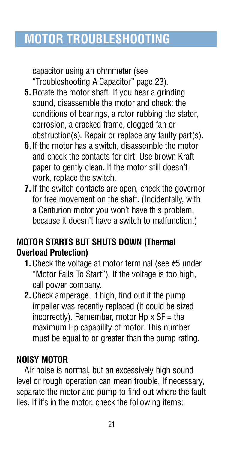# **MOTOR TROUBLESHOOTING**

capacitor using an ohmmeter (see " Troubleshooting A Capacitor" page 23).

- **5.** Rotate the motor shaft. If you hear a grinding sound, disassemble the motor and check: the conditions of bearings, a rotor rubbing the stator, corrosion, a cracked frame, clogged fan or  $obstruction(s)$ . Repair or replace any faulty part $(s)$ .
- **6 .**If the motor has a switch, disassemble the motor and check the contacts for dirt. Use brown Kraft paper to gently clean. If the motor still doesn't work, replace the switch.
- **7 .**If the switch contacts are open, check the governor for free movement on the shaft. (Incidentally, with a Centurion motor you won't have this problem, because it doesn't have a switch to malfunction.)

#### **MOTOR STARTS BUT SHUTS DOWN (Thermal Overload Protection)**

- **1.** Check the voltage at motor terminal (see #5 under "Motor Fails To Start"). If the voltage is too high, call power company.
- **2 .**Check amperage. If high, find out it the pump impeller was recently replaced (it could be sized incorrectly). Remember, motor Hp  $x$  SF = the maximum Hp capability of motor. This number must be equal to or greater than the pump rating.

#### **NOISY MOTOR**

Air noise is normal, but an excessively high sound level or rough operation can mean trouble. If necessary, separate the motor and pump to find out where the fault lies. If it's in the motor, check the following items: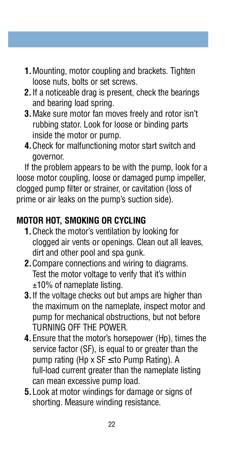- **1 .**Mounting, motor coupling and brackets. Tighten loose nuts, bolts or set screws.
- **2 .**If a noticeable drag is present, check the bearings and bearing load spring.
- **3 .**Make sure motor fan moves freely and rotor isn't rubbing stator. Look for loose or binding parts inside the motor or pump.
- **4 .**Check for malfunctioning motor start switch and governor.

If the problem appears to be with the pump, look for a loose motor coupling, loose or damaged pump impeller, clogged pump filter or strainer, or cavitation (loss of prime or air leaks on the pump's suction side).

#### **MOTOR HOT, SMOKING OR CYCLING**

- **1 .**Check the motor's ventilation by looking for clogged air vents or openings. Clean out all leaves, dirt and other pool and spa gunk.
- **2.** Compare connections and wiring to diagrams. Test the motor voltage to verify that it's within ±10% of nameplate listing.
- **3 .**If the voltage checks out but amps are higher than the maximum on the nameplate, inspect motor and pump for mechanical obstructions, but not before TURNING OFF THE POWER.
- **4.** Ensure that the motor's horsepower (Hp), times the service factor (SF), is equal to or greater than the pump rating (Hp x SF to Pump Rating). A full-load current greater than the nameplate listing can mean excessive pump load.
- **5 .**Look at motor windings for damage or signs of shorting. Measure winding resistance.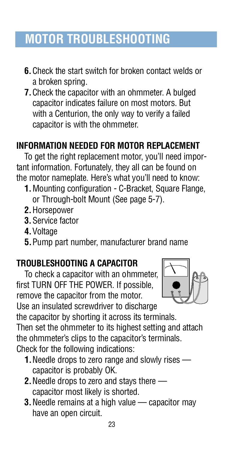# **MOTOR TROUBLESHOOTING**

- **6 .**Check the start switch for broken contact welds or a broken spring.
- **7 .**Check the capacitor with an ohmmeter. A bulged capacitor indicates failure on most motors. But with a Centurion, the only way to verify a failed capacitor is with the ohmmeter.

#### **INFORMATION NEEDED FOR MOTOR REPLACEMENT**

To get the right replacement motor, you'll need important information. Fortunately, they all can be found on the motor nameplate. Here's what you'll need to know:

- **1.** Mounting configuration C-Bracket, Square Flange, or Through-bolt Mount (See page 5-7).
- **2.** Horsepower
- **3.** Service factor
- **4.** Voltage
- **5 .**Pump part number, manufacturer brand name

#### **TROUBLESHOOTING A CAPACITOR**

To check a capacitor with an ohmmeter, first TURN OFF THE POWER. If possible, remove the capacitor from the motor.



Use an insulated screwdriver to discharge the capacitor by shorting it across its terminals.

Then set the ohmmeter to its highest setting and attach the ohmmeter's clips to the capacitor's terminals. Check for the following indications:

- **1.** Needle drops to zero range and slowly rises capacitor is probably OK.
- **2 .**Needle drops to zero and stays there capacitor most likely is shorted.
- **3.** Needle remains at a high value capacitor may have an open circuit.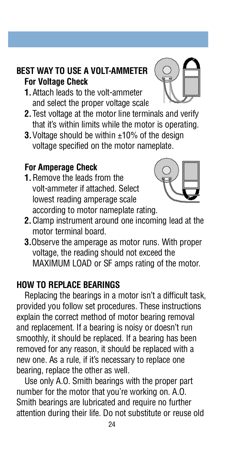#### **BEST WAY TO USE A VOLT-AMMETER For Voltage Check**

- **1 .**Attach leads to the volt-ammeter and select the proper voltage scale.
- **2 .**Test voltage at the motor line terminals and verify that it's within limits while the motor is operating.
- **3.** Voltage should be within  $\pm$ 10% of the design voltage specified on the motor nameplate.

#### **For Amperage Check**

**1** Remove the leads from the volt-ammeter if attached. Select lowest reading amperage scale according to motor nameplate rating.



- **2 .**Clamp instrument around one incoming lead at the motor terminal board.
- **3.**Observe the amperage as motor runs. With proper voltage, the reading should not exceed the MAXIMUM LOAD or SF amps rating of the motor.

#### **HOW TO REPLACE BEARINGS**

Replacing the bearings in a motor isn't a difficult task, provided you follow set procedures. These instructions explain the correct method of motor bearing removal and replacement. If a bearing is noisy or doesn't run smoothly, it should be replaced. If a bearing has been removed for any reason, it should be replaced with a new one. As a rule, if it's necessary to replace one bearing, replace the other as well.

Use only A.O. Smith bearings with the proper part number for the motor that you're working on. A.O. Smith bearings are lubricated and require no further attention during their life. Do not substitute or reuse old

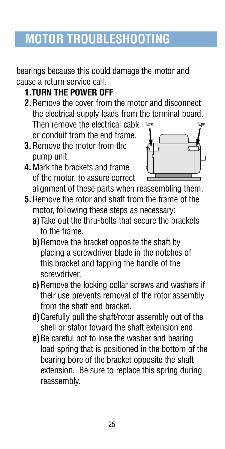# **MOTOR TROUBLESHOOTING**

bearings because this could damage the motor and cause a return service call.

- **1.TURN THE POWER OFF**
- **2 .**Remove the cover from the motor and disconnect the electrical supply leads from the terminal board. Then remove the electrical cable Tape or conduit from the end frame.
- **3 .**Remove the motor from the pump unit.
- **4 .**Mark the brackets and frame of the motor, to assure correct alignment of these parts when reassembling them.



- **5 .**Remove the rotor and shaft from the frame of the motor, following these steps as necessary:
	- **a**) Take out the thru-bolts that secure the brackets to the frame.
	- **b**) Remove the bracket opposite the shaft by placing a screwdriver blade in the notches of this bracket and tapping the handle of the screwdriver
	- **c**) Remove the locking collar screws and washers if their use prevents removal of the rotor assembly from the shaft end bracket.
	- **d**) Carefully pull the shaft/rotor assembly out of the shell or stator toward the shaft extension end.
	- **e**) Be careful not to lose the washer and bearing load spring that is positioned in the bottom of the bearing bore of the bracket opposite the shaft extension. Be sure to replace this spring during reassembly.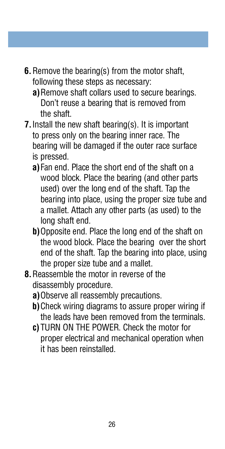- **6.** Remove the bearing(s) from the motor shaft, following these steps as necessary:
	- **a**) Remove shaft collars used to secure bearings. Don't reuse a bearing that is removed from the shaft.
- **7 .**Install the new shaft bearing(s). It is important to press only on the bearing inner race. The bearing will be damaged if the outer race surface is pressed.
	- a) Fan end. Place the short end of the shaft on a wood block. Place the bearing (and other parts used) over the long end of the shaft. Tap the bearing into place, using the proper size tube and a mallet. Attach any other parts (as used) to the long shaft end.
	- **b**) Opposite end. Place the long end of the shaft on the wood block. Place the bearing over the short end of the shaft. Tap the bearing into place, using the proper size tube and a mallet.
- **8** Reassemble the motor in reverse of the disassembly procedure.
	- **a**) Observe all reassembly precautions.
	- **b)** Check wiring diagrams to assure proper wiring if the leads have been removed from the terminals.
	- **c )**TURN ON THE POWER. Check the motor for p roper electrical and mechanical operation when it has been reinstalled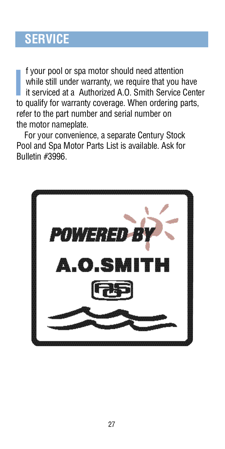# **SERVICE**

**I** f your pool or spa motor should need attention while still under warranty, we require that you have it serviced at a Authorized A.O. Smith Service Centro qualify for warranty coverage. When ordering parts, f your pool or spa motor should need attention while still under warranty, we require that you have it serviced at a Authorized A.O. Smith Service Center refer to the part number and serial number on the motor nameplate.

For your convenience, a separate Century Stock Pool and Spa Motor Parts List is available. Ask for Bulletin #3996.

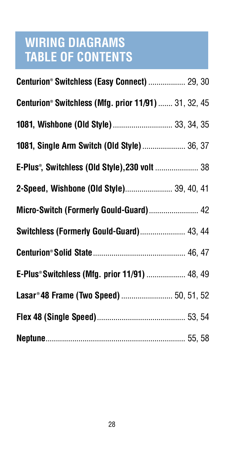# **WIRING DIAGRAMS TABLE OF CONTENTS**

| Centurion® Switchless (Easy Connect)  29, 30         |  |
|------------------------------------------------------|--|
| Centurion® Switchless (Mfg. prior 11/91)  31, 32, 45 |  |
| 1081, Wishbone (Old Style)  33, 34, 35               |  |
| 1081, Single Arm Switch (Old Style)  36, 37          |  |
| E-Plus®, Switchless (Old Style), 230 volt  38        |  |
| 2-Speed, Wishbone (Old Style) 39, 40, 41             |  |
| Micro-Switch (Formerly Gould-Guard) 42               |  |
| Switchless (Formerly Gould-Guard) 43, 44             |  |
|                                                      |  |
| E-Plus® Switchless (Mfg. prior 11/91)  48, 49        |  |
| Lasar®48 Frame (Two Speed)  50, 51, 52               |  |
|                                                      |  |
|                                                      |  |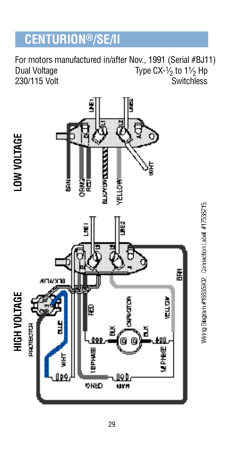# **CENTURION®/SE/II**

For motors manufactured in/after Nov., 1991 (Serial #BJ11) Dual Voltage  $\qquad \qquad \text{Type CX-1/2} \text{ to } 1\text{1/2} \text{ Hp}$ 230/115 Volt Switchless



Wring Diagram #16635902. Connection Label #17536715.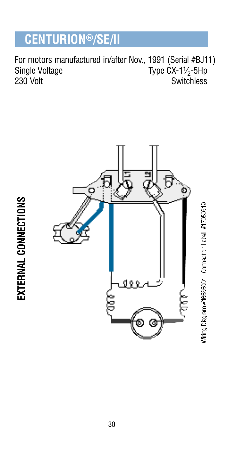# **CENTURION®/SE/II**

For motors manufactured in/after Nov., 1991 (Serial #BJ11) Single Voltage<br>230 Volt Type  $CX-1\frac{1}{2}$ -5Hp Switchless





Wiring Diagram #16636001. Connection Label #17050319.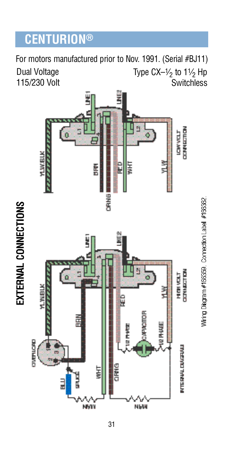# **CENTURION®**

Dual Voltage 115/230 Volt Type CX– $\frac{1}{2}$  to 1 $\frac{1}{2}$  Hp **Switchless** For motors manufactured prior to Nov. 1991. (Serial #BJ11)



Wiring Diagram #166359. Connection Label #166362.

EXTERNAL CONNECTIONS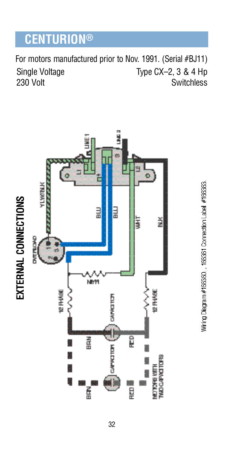# **CENTURION®**

Single Voltage  $230$  Volt Type CX–2, 3 & 4 Hp **Switchless** For motors manufactured prior to Nov. 1991. (Serial #BJ11)



Wiring Diagram #166360., 166361 Connection Label #166363.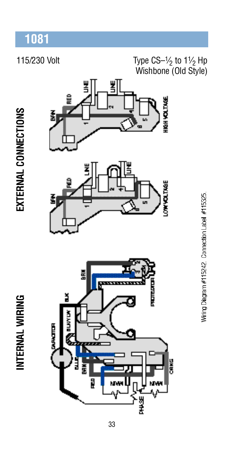#### 115/230 Volt

#### Type  $CS-1/2$  to  $1/2$  Hp Wishbone (Old Style)

EXTERNAL CONNECTIONS

INTERNAL WIRING





Wiring Diagram #115242. Connection Label #115325.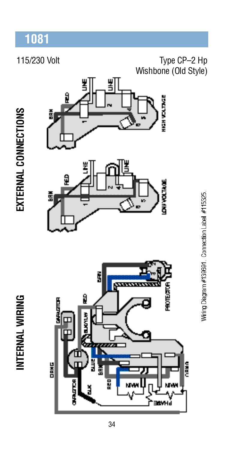#### 115/230 Volt

#### Type CP-2 Hp Wishbone (Old Style)

EXTERNAL CONNECTIONS

INTERNAL WIRING







Winng Diagram #139691. Connection Label #115325.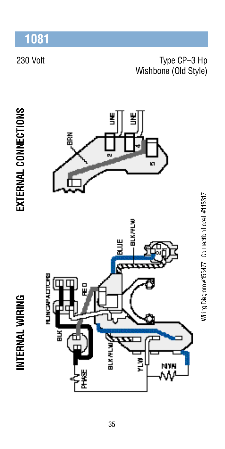#### 230 Volt

#### Type CP-3 Hp Wishbone (Old Style)

INTERNAL WIRING





Winng Diagram #153477 Connection Label #115317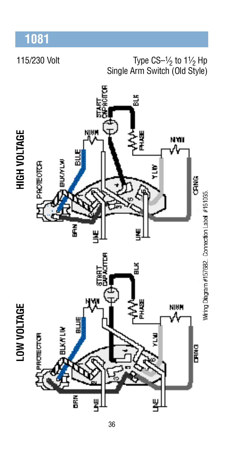115/230 Volt

#### Type  $CS-1/2$  to  $1/2$  Hp Single Arm Switch (Old Style)

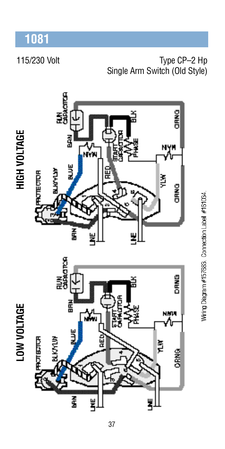115/230 Volt Type CP-2 Hp Single Arm Switch (Old Style)



Wiring Diagram #157683 Connection Label #161034.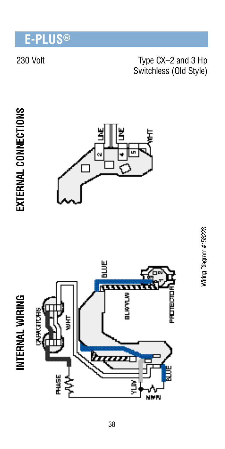## E-PLUS®

#### 230 Volt

#### Type CX-2 and 3 Hp Switchless (Old Style)





INTERNAL WIRING



# Wiring Diagram #156228.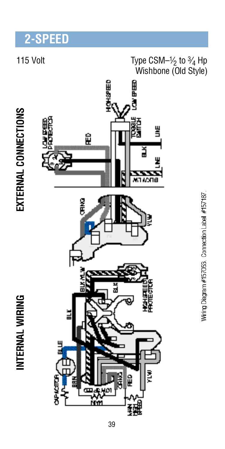# 2-SPEED

#### 115 Volt

# Type  $\text{CSM-}\frac{1}{2}$  to  $\frac{3}{4}$  Hp<br>Wishbone (Old Style)

EXTERNAL CONNECTIONS

INTERNAL WIRING



Wiring Diagram #157053 Connection Label #157187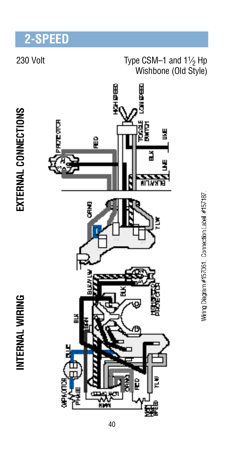# 2-SPEED

#### 230 Volt

# Type CSM-1 and  $1\frac{1}{2}$  Hp<br>Wishbone (Old Style)

# EXTERNAL CONNECTIONS

INTERNAL WIRING



Wiring Diagram #157061 Connection Label #157187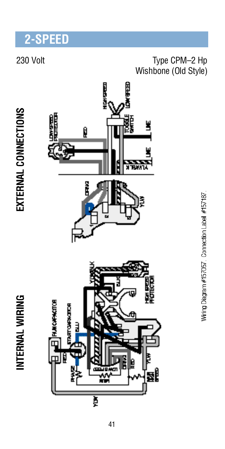# 2-SPEED

#### 230 Volt

#### Type CPM-2 Hp Wishbone (Old Style)

# EXTERNAL CONNECTIONS

INTERNAL WIRING



Wiring Diagram #157057 Connection Label #157187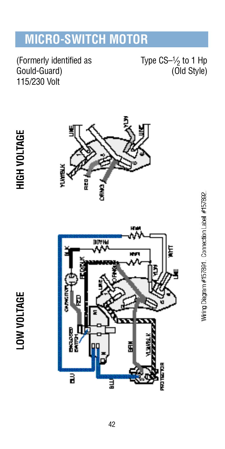# **MICRO-SWITCH MOTOR**

(Formerly identified as Gould-Guard) 115/230 Volt

Type  $CS-1/2$  to 1 Hp (Old Style)

**LOW VOLTAGE** 





Wiring Diagram #157891 Connection Label #157892.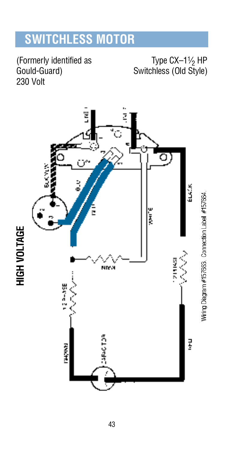# **SWITCHLESS MOTOR**

(Formerly identified as Gould-Guard) 230 Volt

Type  $CX-1\frac{1}{2}$  HP Switchless (Old Style)



43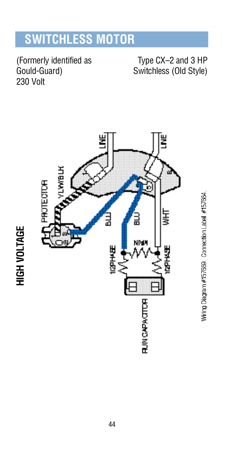# **SWITCHLESS MOTOR**

(Formerly identified as Gould-Guard) 230 Volt

**HIGH VOLTAGE** 

Type CX-2 and 3 HP Switchless (Old Style)

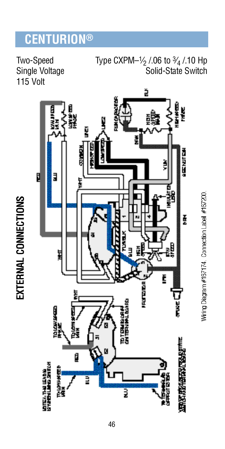# **CENTURION®**

Two-Speed Single Voltage 115 Volt

EXTERNAL CONNECTIONS

Type CXPM- $\frac{1}{2}$  /.06 to  $\frac{3}{4}$  /.10 Hp Solid-State Switch



Winng Diagram #167174 Connection Label #167200.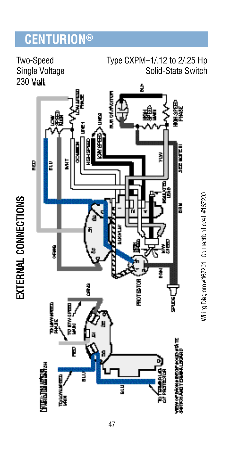# **CENTURION®**

Two-Speed Single Voltage 230 Volt

EXTERNAL CONNECTIONS

Type CXPM-1/.12 to 2/.25 Hp Solid-State Switch



Winng Diagram #167201. Connection Label #167200.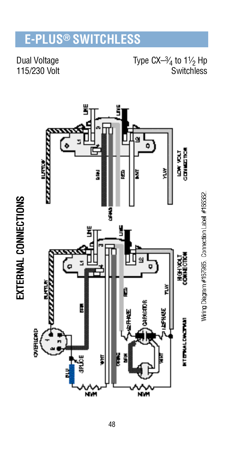#### $\mathsf{LUS}^{\circledast}$  switchless F. P

**Dual Voltage** 115/230 Volt Type  $CX- $\frac{3}{4}$  to 1 $\frac{1}{2}$  Hp$ Switchless



48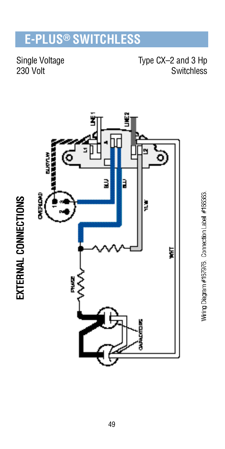# **E-PLUS® SWITCHLESS**

Single Voltage 230 Volt

Type CX-2 and 3 Hp Switchless



Winng Diagram #167976. Connection Label #166363.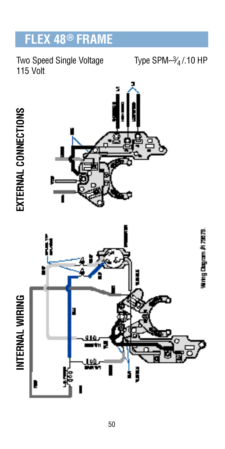#### **EX 48<sup>®</sup> FRAME** FI

#### Two Speed Single Voltage 115 Volt

#### Type SPM $-3/4/10$  HP

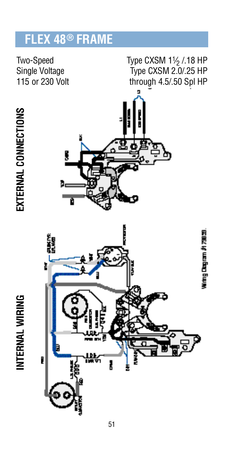#### **EX 48<sup>®</sup> FRAME** Fl

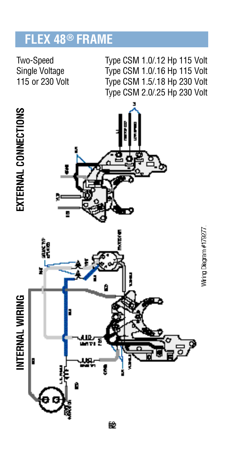# **FLEX 48® FRAME**

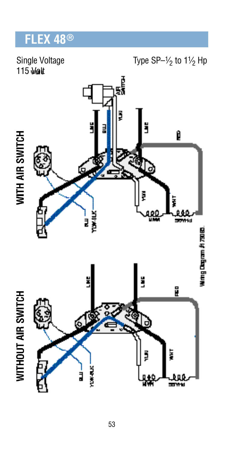# FLEX 48<sup>®</sup>

Single Voltage 115 Volt

#### Type SP- $\frac{1}{2}$  to 1 $\frac{1}{2}$  Hp

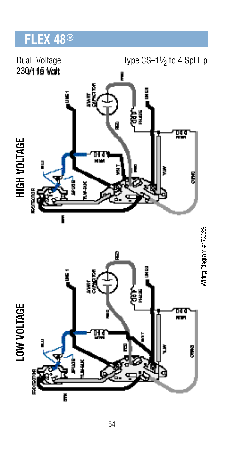# FLEX 48<sup>®</sup>

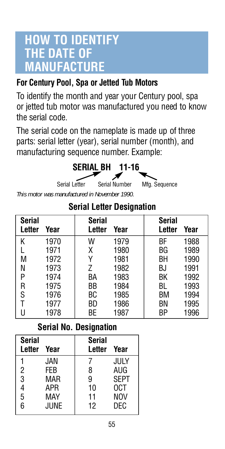## **HOW TO IDENTIFY THE DATE OF MANUFACTURE**

#### **For Century Pool, Spa or Jetted Tub Motors**

To identify the month and year your Century pool, spa or jetted tub motor was manufactured you need to know the serial code.

The serial code on the nameplate is made up of three parts: serial letter (year), serial number (month), and manufacturing sequence number. Example:



*This motor was manufactured in November 1990.*

| Serial<br>Letter | Year | Serial<br>Letter | Year | Serial<br>Letter | Year |
|------------------|------|------------------|------|------------------|------|
| Κ                | 1970 | W                | 1979 | ВF               | 1988 |
|                  | 1971 | χ                | 1980 | BG               | 1989 |
| М                | 1972 | ٧                | 1981 | BН               | 1990 |
| N                | 1973 | 7                | 1982 | BJ               | 1991 |
| P                | 1974 | BА               | 1983 | ВK               | 1992 |
| R                | 1975 | ВB               | 1984 | BL               | 1993 |
| S                | 1976 | ВC               | 1985 | ВM               | 1994 |
|                  | 1977 | ВD               | 1986 | ΒN               | 1995 |
| U                | 1978 | ВE               | 1987 | ΒP               | 1996 |

#### **Serial Letter Designation**

#### **Serial No. Designation**

| Serial<br>Letter | Year | Serial<br>Letter | Year        |
|------------------|------|------------------|-------------|
|                  | JAN. |                  | JULY        |
| 2                | FFB  | 8                | aug         |
| 3                | MAR  | 9                | <b>SEPT</b> |
| 4                | APR  | 10               | 0CT         |
| 5                | MAY  | 11               | NOV         |
| 6                | JUNE | 12               | DFC         |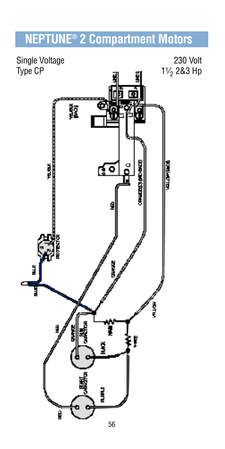# **N E P T U N E® 2 Compartment Motors**

Single Voltage 230 Volt<br>
Type CP **a**  $\frac{11}{2}$  a  $\frac{11}{2}$  283 Hp 11/<sub>2</sub> 2&3 Hp Ä Ë <u>िल</u> Ĭ å<br>D 医心室的医心理 ă I Ş ľ š

**RIGHTER** 

56

Ĕ

Ø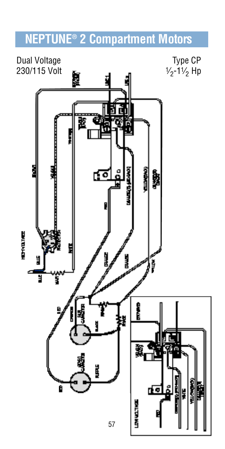# **N E P T U N E® 2 Compartment Motors**

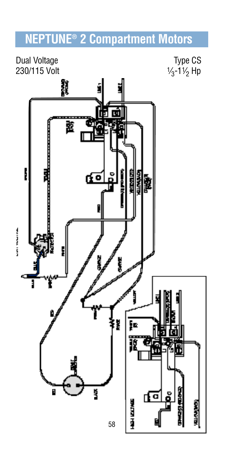# **N E P T U N E® 2 Compartment Motors**